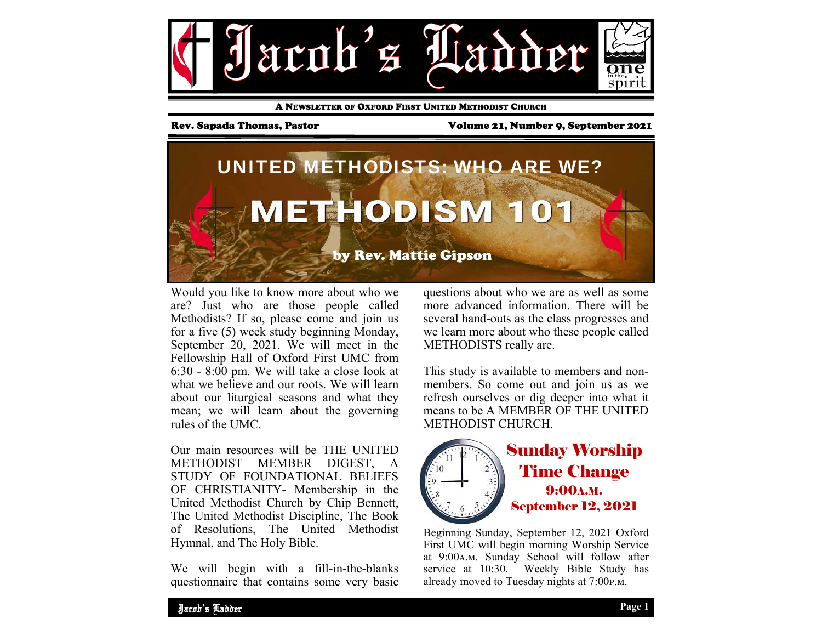

A NEWSLETTER OF OXFORD FIRST UNITED METHODIST CHURCH

Rev. Sapada Thomas, Pastor Volume 21, Number 9, September 2021



Would you like to know more about who we are? Just who are those people called Methodists? If so, please come and join us for a five (5) week study beginning Monday, September 20, 2021. We will meet in the Fellowship Hall of Oxford First UMC from 6:30 - 8:00 pm. We will take a close look at what we believe and our roots. We will learn about our liturgical seasons and what they mean; we will learn about the governing rules of the UMC.

Our main resources will be THE UNITED METHODIST MEMBER DIGEST, A STUDY OF FOUNDATIONAL BELIEFS OF CHRISTIANITY- Membership in the United Methodist Church by Chip Bennett, The United Methodist Discipline, The Book of Resolutions, The United Methodist Hymnal, and The Holy Bible.

We will begin with a fill-in-the-blanks questionnaire that contains some very basic questions about who we are as well as some more advanced information. There will be several hand-outs as the class progresses and we learn more about who these people called METHODISTS really are.

This study is available to members and nonmembers. So come out and join us as we refresh ourselves or dig deeper into what it means to be A MEMBER OF THE UNITED METHODIST CHURCH.



Sunday Worship Time Change 9:00A.M. September 12, 2021

Beginning Sunday, September 12, 2021 Oxford First UMC will begin morning Worship Service at 9:00A.M. Sunday School will follow after service at 10:30. Weekly Bible Study has already moved to Tuesday nights at 7:00p.m.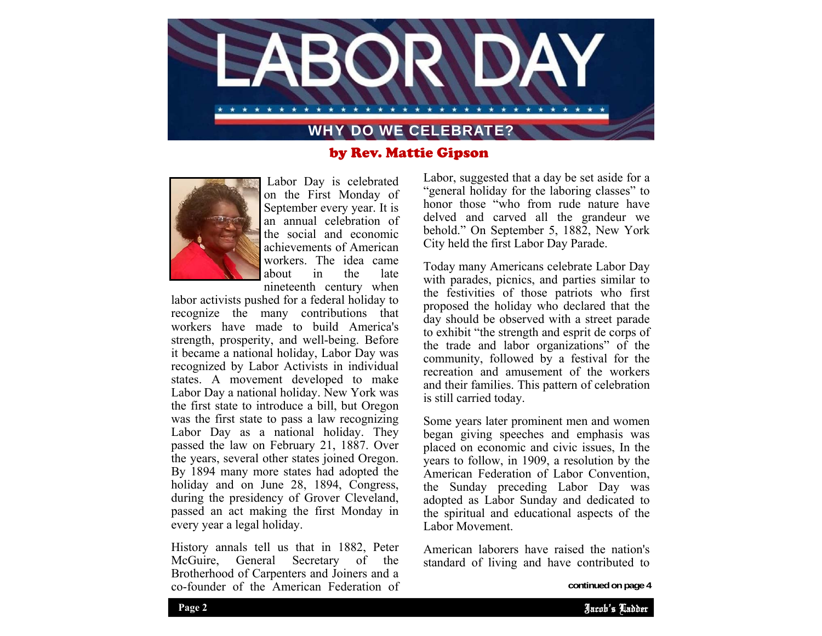

# by Rev. Mattie Gipson



 Labor Day is celebrated on the First Monday of September every year. It is an annual celebration of the social and economic achievements of American workers. The idea came about in the late nineteenth century when

labor activists pushed for a federal holiday to recognize the many contributions that workers have made to build America's strength, prosperity, and well-being. Before it became a national holiday, Labor Day was recognized by Labor Activists in individual states. A movement developed to make Labor Day a national holiday. New York was the first state to introduce a bill, but Oregon was the first state to pass a law recognizing Labor Day as a national holiday. They passed the law on February 21, 1887. Over the years, several other states joined Oregon. By 1894 many more states had adopted the holiday and on June 28, 1894, Congress, during the presidency of Grover Cleveland, passed an act making the first Monday in every year a legal holiday.

History annals tell us that in 1882, Peter McGuire, General Secretary of the Brotherhood of Carpenters and Joiners and a co-founder of the American Federation of Labor, suggested that a day be set aside for a "general holiday for the laboring classes" to honor those "who from rude nature have delved and carved all the grandeur we behold." On September 5, 1882, New York City held the first Labor Day Parade.

Today many Americans celebrate Labor Day with parades, picnics, and parties similar to the festivities of those patriots who first proposed the holiday who declared that the day should be observed with a street parade to exhibit "the strength and esprit de corps of the trade and labor organizations" of the community, followed by a festival for the recreation and amusement of the workers and their families. This pattern of celebration is still carried today.

Some years later prominent men and women began giving speeches and emphasis was placed on economic and civic issues, In the years to follow, in 1909, a resolution by the American Federation of Labor Convention, the Sunday preceding Labor Day was adopted as Labor Sunday and dedicated to the spiritual and educational aspects of the Labor Movement.

American laborers have raised the nation's standard of living and have contributed to

**continued on page 4**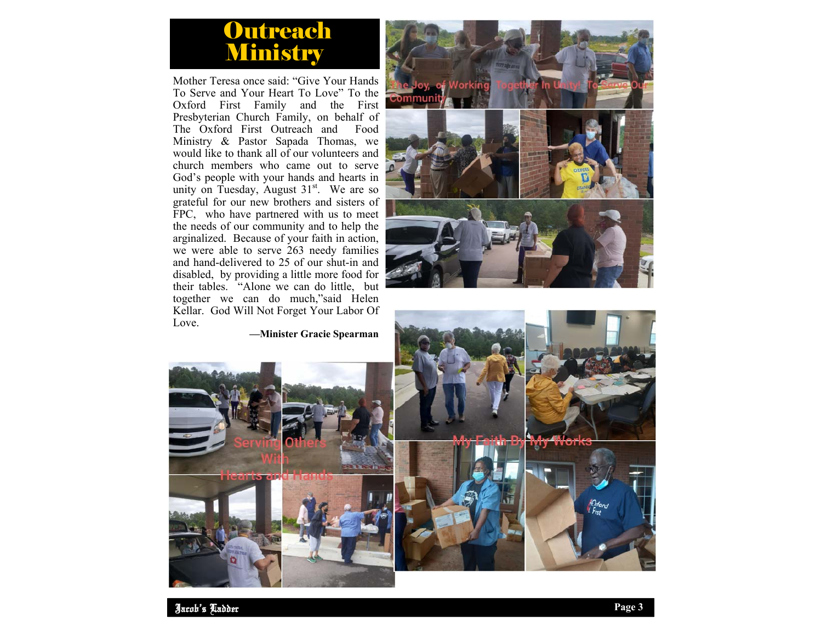# Outreach Ministry

Mother Teresa once said: "Give Your Hands To Serve and Your Heart To Love" To the Oxford First Family and the First Presbyterian Church Family, on behalf of The Oxford First Outreach and Food Ministry & Pastor Sapada Thomas, we would like to thank all of our volunteers and church members who came out to serve God's people with your hands and hearts in unity on Tuesday, August  $31<sup>st</sup>$ . We are so grateful for our new brothers and sisters of FPC, who have partnered with us to meet the needs of our community and to help the arginalized. Because of your faith in action, we were able to serve 263 needy families and hand-delivered to 25 of our shut-in and disabled, by providing a little more food for their tables. "Alone we can do little, but together we can do much,"said Helen Kellar. God Will Not Forget Your Labor Of Love.